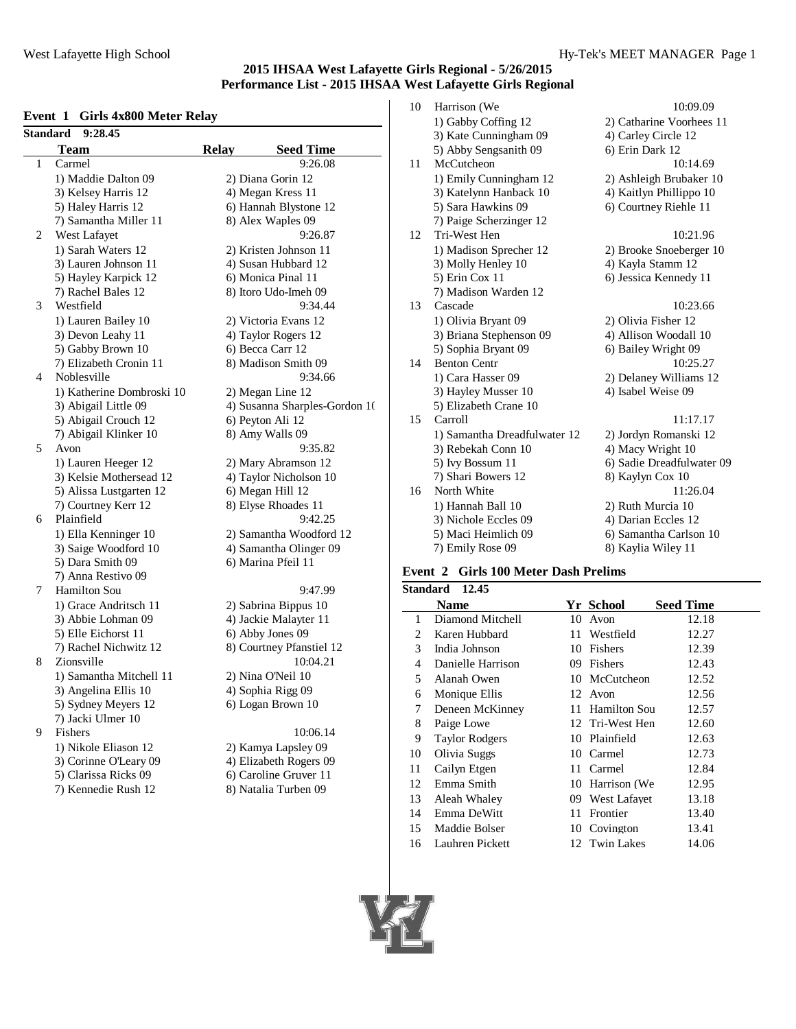## **Event 1 Girls 4x800 Meter Relay**

|                | 9:28.45<br>Standard       |              |                               |
|----------------|---------------------------|--------------|-------------------------------|
|                | <b>Team</b>               | <b>Relay</b> | <b>Seed Time</b>              |
| 1              | Carmel                    |              | 9:26.08                       |
|                | 1) Maddie Dalton 09       |              | 2) Diana Gorin 12             |
|                | 3) Kelsey Harris 12       |              | 4) Megan Kress 11             |
|                | 5) Haley Harris 12        |              | 6) Hannah Blystone 12         |
|                | 7) Samantha Miller 11     |              | 8) Alex Waples 09             |
| $\overline{c}$ | West Lafayet              |              | 9:26.87                       |
|                | 1) Sarah Waters 12        |              | 2) Kristen Johnson 11         |
|                | 3) Lauren Johnson 11      |              | 4) Susan Hubbard 12           |
|                | 5) Hayley Karpick 12      |              | 6) Monica Pinal 11            |
|                | 7) Rachel Bales 12        |              | 8) Itoro Udo-Imeh 09          |
| 3              | Westfield                 |              | 9:34.44                       |
|                | 1) Lauren Bailey 10       |              | 2) Victoria Evans 12          |
|                | 3) Devon Leahy 11         |              | 4) Taylor Rogers 12           |
|                | 5) Gabby Brown 10         |              | 6) Becca Carr 12              |
|                | 7) Elizabeth Cronin 11    |              | 8) Madison Smith 09           |
| 4              | Noblesville               |              | 9:34.66                       |
|                | 1) Katherine Dombroski 10 |              | 2) Megan Line 12              |
|                | 3) Abigail Little 09      |              | 4) Susanna Sharples-Gordon 1( |
|                | 5) Abigail Crouch 12      |              | 6) Peyton Ali 12              |
|                | 7) Abigail Klinker 10     |              | 8) Amy Walls 09               |
| 5              | Avon                      |              | 9:35.82                       |
|                | 1) Lauren Heeger 12       |              | 2) Mary Abramson 12           |
|                | 3) Kelsie Mothersead 12   |              | 4) Taylor Nicholson 10        |
|                | 5) Alissa Lustgarten 12   |              | 6) Megan Hill 12              |
|                | 7) Courtney Kerr 12       |              | 8) Elyse Rhoades 11           |
| 6              | Plainfield                |              | 9:42.25                       |
|                | 1) Ella Kenninger 10      |              | 2) Samantha Woodford 12       |
|                | 3) Saige Woodford 10      |              | 4) Samantha Olinger 09        |
|                | 5) Dara Smith 09          |              | 6) Marina Pfeil 11            |
|                | 7) Anna Restivo 09        |              |                               |
| 7              | Hamilton Sou              |              | 9:47.99                       |
|                | 1) Grace Andritsch 11     |              | 2) Sabrina Bippus 10          |
|                | 3) Abbie Lohman 09        |              | 4) Jackie Malayter 11         |
|                | 5) Elle Eichorst 11       |              | 6) Abby Jones 09              |
|                | 7) Rachel Nichwitz 12     |              | 8) Courtney Pfanstiel 12      |
| 8              | Zionsville                |              | 10:04.21                      |
|                | 1) Samantha Mitchell 11   |              | 2) Nina O'Neil 10             |
|                | 3) Angelina Ellis 10      |              | 4) Sophia Rigg 09             |
|                | 5) Sydney Meyers 12       |              | 6) Logan Brown 10             |
|                | 7) Jacki Ulmer 10         |              |                               |
| 9              | Fishers                   |              | 10:06.14                      |
|                | 1) Nikole Eliason 12      |              | 2) Kamya Lapsley 09           |
|                | 3) Corinne O'Leary 09     |              | 4) Elizabeth Rogers 09        |
|                | 5) Clarissa Ricks 09      |              | 6) Caroline Gruver 11         |
|                |                           |              |                               |

7) Kennedie Rush 12 8) Natalia Turben 09

| bard 12           | 3) Molly He                         |  |  |
|-------------------|-------------------------------------|--|--|
| nal 11            | 5) Erin Cox                         |  |  |
| lmeh 09           | 7) Madison                          |  |  |
| 9:34.44           | 13<br>Cascade                       |  |  |
| vans 12           | 1) Olivia B                         |  |  |
| ers 12            | 3) Briana S                         |  |  |
| : 12              | 5) Sophia B                         |  |  |
| mith 09           | 14<br>Benton Cen                    |  |  |
| 9:34.66           | 1) Cara Has                         |  |  |
| e 12              | 3) Hayley M                         |  |  |
| harples-Gordon 1( | 5) Elizabeth                        |  |  |
| 12                | 15<br>Carroll                       |  |  |
| s 09              | 1) Samanth                          |  |  |
| 9:35.82           | 3) Rebekah                          |  |  |
| mson 12           | 5) Ivy Bossu                        |  |  |
| holson 10         | 7) Shari Bo                         |  |  |
| 1 12              | North Whit<br>16                    |  |  |
| ades 11           | 1) Hannah I                         |  |  |
| 9:42.25           | 3) Nichole I                        |  |  |
| Woodford 12       | 5) Maci Hei                         |  |  |
| Olinger 09        | 7) Emily Ro                         |  |  |
| eil 11            |                                     |  |  |
|                   | Event 2 Girls                       |  |  |
| 9:47.99           | Standard 12.45                      |  |  |
| ppus 10           | <b>Name</b>                         |  |  |
| ayter 11          | Diamond <sub>M</sub><br>1           |  |  |
| s 09              | Karen Hubl<br>$\mathbf{2}^{\prime}$ |  |  |
| Pfanstiel 12      | 3<br>India Johns                    |  |  |
| 10:04.21          | 4<br>Danielle Ha                    |  |  |
| i110              | 5<br>Alanah Ow                      |  |  |

- -

| 10 | Harrison (We                 | 10:09.09                  |
|----|------------------------------|---------------------------|
|    | 1) Gabby Coffing 12          | 2) Catharine Voorhees 11  |
|    | 3) Kate Cunningham 09        | 4) Carley Circle 12       |
|    | 5) Abby Sengsanith 09        | 6) Erin Dark 12           |
| 11 | McCutcheon                   | 10:14.69                  |
|    | 1) Emily Cunningham 12       | 2) Ashleigh Brubaker 10   |
|    | 3) Katelynn Hanback 10       | 4) Kaitlyn Phillippo 10   |
|    | 5) Sara Hawkins 09           | 6) Courtney Riehle 11     |
|    | 7) Paige Scherzinger 12      |                           |
| 12 | Tri-West Hen                 | 10:21.96                  |
|    | 1) Madison Sprecher 12       | 2) Brooke Snoeberger 10   |
|    | 3) Molly Henley 10           | 4) Kayla Stamm 12         |
|    | 5) Erin Cox 11               | 6) Jessica Kennedy 11     |
|    | 7) Madison Warden 12         |                           |
| 13 | Cascade                      | 10:23.66                  |
|    | 1) Olivia Bryant 09          | 2) Olivia Fisher 12       |
|    | 3) Briana Stephenson 09      | 4) Allison Woodall 10     |
|    | 5) Sophia Bryant 09          | 6) Bailey Wright 09       |
| 14 | <b>Benton Centr</b>          | 10:25.27                  |
|    | 1) Cara Hasser 09            | 2) Delaney Williams 12    |
|    | 3) Hayley Musser 10          | 4) Isabel Weise 09        |
|    | 5) Elizabeth Crane 10        |                           |
| 15 | Carroll                      | 11:17.17                  |
|    | 1) Samantha Dreadfulwater 12 | 2) Jordyn Romanski 12     |
|    | 3) Rebekah Conn 10           | 4) Macy Wright 10         |
|    | 5) Ivy Bossum 11             | 6) Sadie Dreadfulwater 09 |
|    | 7) Shari Bowers 12           | 8) Kaylyn Cox 10          |
| 16 | North White                  | 11:26.04                  |
|    | 1) Hannah Ball 10            | 2) Ruth Murcia 10         |
|    | 3) Nichole Eccles 09         | 4) Darian Eccles 12       |
|    | 5) Maci Heimlich 09          | 6) Samantha Carlson 10    |
|    | 7) Emily Rose 09             | 8) Kaylia Wiley 11        |

# **Event 2 Girls 100 Meter Dash Prelims**

| itandard | 12.45                 |    |                 |                  |  |
|----------|-----------------------|----|-----------------|------------------|--|
|          | Name                  |    | Yr School       | <b>Seed Time</b> |  |
| 1        | Diamond Mitchell      | 10 | Avon            | 12.18            |  |
| 2        | Karen Hubbard         |    | 11 Westfield    | 12.27            |  |
| 3        | India Johnson         |    | 10 Fishers      | 12.39            |  |
| 4        | Danielle Harrison     | 09 | Fishers         | 12.43            |  |
| 5        | Alanah Owen           |    | 10 McCutcheon   | 12.52            |  |
| 6        | Monique Ellis         |    | 12 Avon         | 12.56            |  |
| 7        | Deneen McKinney       |    | 11 Hamilton Sou | 12.57            |  |
| 8        | Paige Lowe            |    | 12 Tri-West Hen | 12.60            |  |
| 9        | <b>Taylor Rodgers</b> |    | 10 Plainfield   | 12.63            |  |
| 10       | Olivia Suggs          |    | 10 Carmel       | 12.73            |  |
| 11       | Cailyn Etgen          | 11 | Carmel          | 12.84            |  |
| 12       | Emma Smith            |    | 10 Harrison (We | 12.95            |  |
| 13       | Aleah Whaley          |    | 09 West Lafayet | 13.18            |  |
| 14       | Emma DeWitt           | 11 | Frontier        | 13.40            |  |
| 15       | Maddie Bolser         |    | 10 Covington    | 13.41            |  |
| 16       | Lauhren Pickett       |    | 12 Twin Lakes   | 14.06            |  |

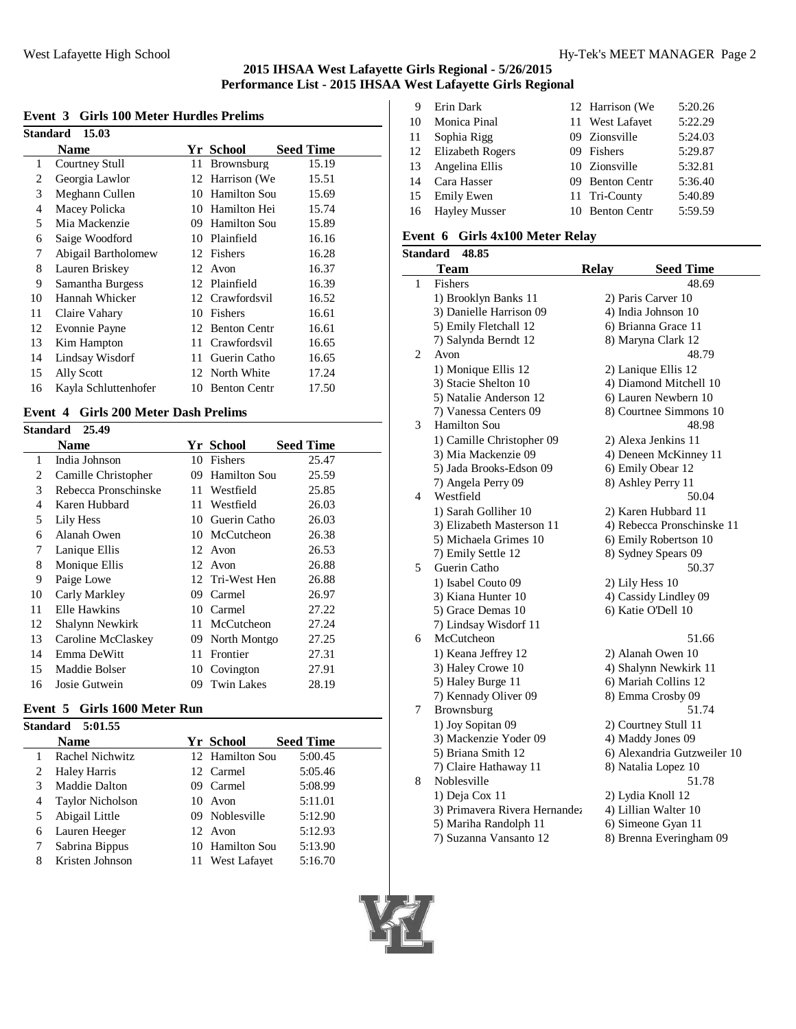#### **Event 3 Girls 100 Meter Hurdles Prelims**

|    | <b>Standard 15.03</b> |    |                     |                  |  |  |  |
|----|-----------------------|----|---------------------|------------------|--|--|--|
|    | Name                  |    | Yr School           | <b>Seed Time</b> |  |  |  |
| 1  | Courtney Stull        | 11 | Brownsburg          | 15.19            |  |  |  |
| 2  | Georgia Lawlor        |    | 12 Harrison (We     | 15.51            |  |  |  |
| 3  | Meghann Cullen        | 10 | <b>Hamilton Sou</b> | 15.69            |  |  |  |
| 4  | Macey Policka         |    | 10 Hamilton Hei     | 15.74            |  |  |  |
| 5  | Mia Mackenzie         |    | 09 Hamilton Sou     | 15.89            |  |  |  |
| 6  | Saige Woodford        |    | 10 Plainfield       | 16.16            |  |  |  |
| 7  | Abigail Bartholomew   |    | 12 Fishers          | 16.28            |  |  |  |
| 8  | Lauren Briskey        |    | 12 Avon             | 16.37            |  |  |  |
| 9  | Samantha Burgess      |    | 12 Plainfield       | 16.39            |  |  |  |
| 10 | Hannah Whicker        |    | 12 Crawfordsvil     | 16.52            |  |  |  |
| 11 | Claire Vahary         | 10 | Fishers             | 16.61            |  |  |  |
| 12 | Evonnie Payne         |    | 12 Benton Centr     | 16.61            |  |  |  |
| 13 | Kim Hampton           | 11 | Crawfordsvil        | 16.65            |  |  |  |
| 14 | Lindsay Wisdorf       | 11 | Guerin Catho        | 16.65            |  |  |  |
| 15 | Ally Scott            |    | 12 North White      | 17.24            |  |  |  |
| 16 | Kayla Schluttenhofer  |    | 10 Benton Centr     | 17.50            |  |  |  |

# **Event 4 Girls 200 Meter Dash Prelims**

| Standard 25.49 |                      |    |                     |                  |  |
|----------------|----------------------|----|---------------------|------------------|--|
|                | Name                 |    | Yr School           | <b>Seed Time</b> |  |
| 1              | India Johnson        | 10 | Fishers             | 25.47            |  |
| 2              | Camille Christopher  | 09 | <b>Hamilton Sou</b> | 25.59            |  |
| 3              | Rebecca Pronschinske |    | 11 Westfield        | 25.85            |  |
| 4              | Karen Hubbard        |    | 11 Westfield        | 26.03            |  |
| 5              | Lily Hess            |    | 10 Guerin Catho     | 26.03            |  |
| 6              | Alanah Owen          |    | 10 McCutcheon       | 26.38            |  |
| 7              | Lanique Ellis        |    | 12 Avon             | 26.53            |  |
| 8              | Monique Ellis        |    | 12 Avon             | 26.88            |  |
| 9              | Paige Lowe           |    | 12 Tri-West Hen     | 26.88            |  |
| 10             | Carly Markley        | 09 | Carmel              | 26.97            |  |
| 11             | Elle Hawkins         | 10 | Carmel              | 27.22            |  |
| 12             | Shalynn Newkirk      | 11 | McCutcheon          | 27.24            |  |
| 13             | Caroline McClaskey   | 09 | North Montgo        | 27.25            |  |
| 14             | Emma DeWitt          | 11 | Frontier            | 27.31            |  |
| 15             | Maddie Bolser        | 10 | Covington           | 27.91            |  |
| 16             | Josie Gutwein        | 09 | <b>Twin Lakes</b>   | 28.19            |  |

# **Event 5 Girls 1600 Meter Run**

|   | <b>Standard 5:01.55</b> |                 |                  |
|---|-------------------------|-----------------|------------------|
|   | Name                    | Yr School       | <b>Seed Time</b> |
|   | Rachel Nichwitz         | 12 Hamilton Sou | 5:00.45          |
| 2 | <b>Haley Harris</b>     | 12 Carmel       | 5:05.46          |
|   | <b>Maddie Dalton</b>    | 09 Carmel       | 5:08.99          |
| 4 | <b>Taylor Nicholson</b> | 10 Avon         | 5:11.01          |
|   | Abigail Little          | 09 Noblesville  | 5:12.90          |
| 6 | Lauren Heeger           | 12 Avon         | 5:12.93          |
|   | Sabrina Bippus          | 10 Hamilton Sou | 5:13.90          |
| 8 | Kristen Johnson         | 11 West Lafayet | 5:16.70          |
|   |                         |                 |                  |

| 9  | Erin Dark               | 12 Harrison (We | 5:20.26 |
|----|-------------------------|-----------------|---------|
| 10 | Monica Pinal            | 11 West Lafayet | 5:22.29 |
| 11 | Sophia Rigg             | 09 Zionsville   | 5:24.03 |
| 12 | <b>Elizabeth Rogers</b> | 09 Fishers      | 5:29.87 |
| 13 | Angelina Ellis          | 10 Zionsville   | 5:32.81 |
| 14 | Cara Hasser             | 09 Benton Centr | 5:36.40 |
| 15 | Emily Ewen              | 11 Tri-County   | 5:40.89 |
| 16 | <b>Hayley Musser</b>    | 10 Benton Centr | 5:59.59 |
|    |                         |                 |         |

# **Event 6 Girls 4x100 Meter Relay**

|              | Standard<br>48.85             |              |                             |
|--------------|-------------------------------|--------------|-----------------------------|
|              | <b>Team</b>                   | <b>Relay</b> | <b>Seed Time</b>            |
| $\mathbf{1}$ | Fishers                       |              | 48.69                       |
|              | 1) Brooklyn Banks 11          |              | 2) Paris Carver 10          |
|              | 3) Danielle Harrison 09       |              | 4) India Johnson 10         |
|              | 5) Emily Fletchall 12         |              | 6) Brianna Grace 11         |
|              | 7) Salynda Berndt 12          |              | 8) Maryna Clark 12          |
| 2            | Avon                          |              | 48.79                       |
|              | 1) Monique Ellis 12           |              | 2) Lanique Ellis 12         |
|              | 3) Stacie Shelton 10          |              | 4) Diamond Mitchell 10      |
|              | 5) Natalie Anderson 12        |              | 6) Lauren Newbern 10        |
|              | 7) Vanessa Centers 09         |              | 8) Courtnee Simmons 10      |
| 3            | Hamilton Sou                  |              | 48.98                       |
|              | 1) Camille Christopher 09     |              | 2) Alexa Jenkins 11         |
|              | 3) Mia Mackenzie 09           |              | 4) Deneen McKinney 11       |
|              | 5) Jada Brooks-Edson 09       |              | 6) Emily Obear 12           |
|              | 7) Angela Perry 09            |              | 8) Ashley Perry 11          |
| 4            | Westfield                     |              | 50.04                       |
|              | 1) Sarah Golliher 10          |              | 2) Karen Hubbard 11         |
|              | 3) Elizabeth Masterson 11     |              | 4) Rebecca Pronschinske 11  |
|              | 5) Michaela Grimes 10         |              | 6) Emily Robertson 10       |
|              | 7) Emily Settle 12            |              | 8) Sydney Spears 09         |
| 5            | Guerin Catho                  |              | 50.37                       |
|              | 1) Isabel Couto 09            |              | 2) Lily Hess 10             |
|              | 3) Kiana Hunter 10            |              | 4) Cassidy Lindley 09       |
|              | 5) Grace Demas 10             |              | 6) Katie O'Dell 10          |
|              | 7) Lindsay Wisdorf 11         |              |                             |
| 6            | McCutcheon                    |              | 51.66                       |
|              | 1) Keana Jeffrey 12           |              | 2) Alanah Owen 10           |
|              | 3) Haley Crowe 10             |              | 4) Shalynn Newkirk 11       |
|              | 5) Haley Burge 11             |              | 6) Mariah Collins 12        |
|              | 7) Kennady Oliver 09          |              | 8) Emma Crosby 09           |
| 7            | Brownsburg                    |              | 51.74                       |
|              | 1) Joy Sopitan 09             |              | 2) Courtney Stull 11        |
|              | 3) Mackenzie Yoder 09         |              | 4) Maddy Jones 09           |
|              | 5) Briana Smith 12            |              | 6) Alexandria Gutzweiler 10 |
|              | 7) Claire Hathaway 11         |              | 8) Natalia Lopez 10         |
| 8            | Noblesville                   |              | 51.78                       |
|              | 1) Deja Cox 11                |              | 2) Lydia Knoll 12           |
|              | 3) Primavera Rivera Hernandez |              | 4) Lillian Walter 10        |
|              | 5) Mariha Randolph 11         |              | 6) Simeone Gyan 11          |
|              | 7) Suzanna Vansanto 12        |              | 8) Brenna Everingham 09     |

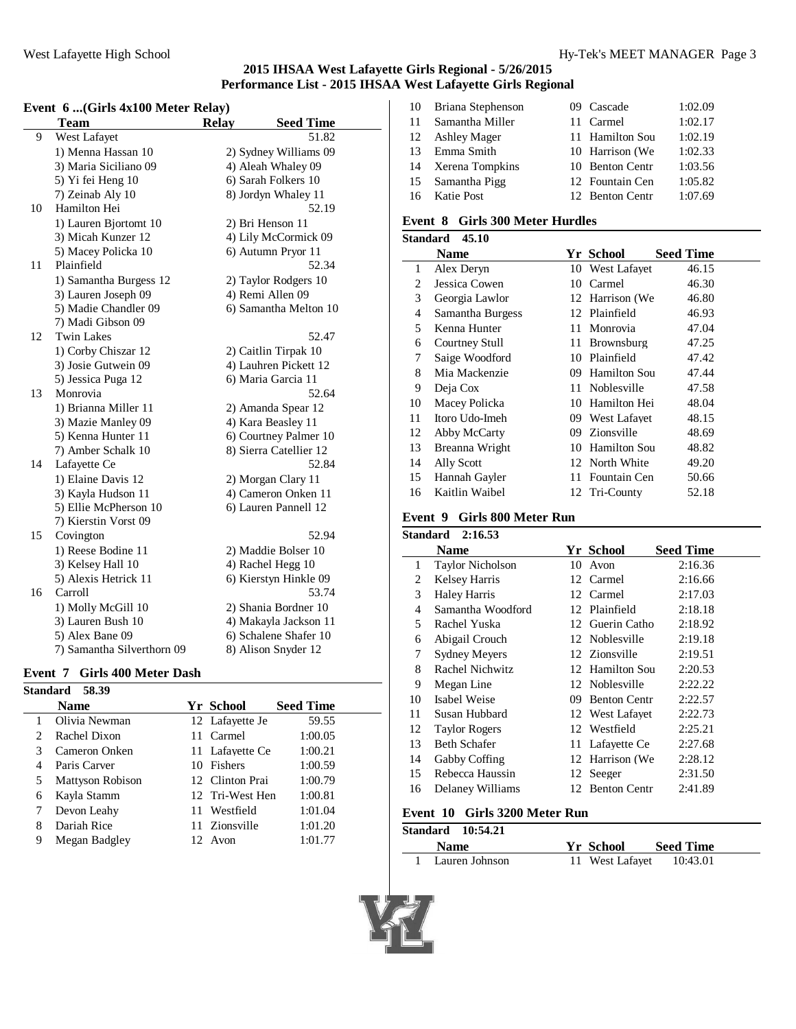# **Event 6 ...(Girls 4x100 Meter Relay)**

|    | <b>Team</b>                | <b>Relay</b> | <b>Seed Time</b>       |  |
|----|----------------------------|--------------|------------------------|--|
| 9  | West Lafayet               |              | 51.82                  |  |
|    | 1) Menna Hassan 10         |              | 2) Sydney Williams 09  |  |
|    | 3) Maria Siciliano 09      |              | 4) Aleah Whaley 09     |  |
|    | 5) Yi fei Heng 10          |              | 6) Sarah Folkers 10    |  |
|    | 7) Zeinab Aly 10           |              | 8) Jordyn Whaley 11    |  |
| 10 | Hamilton Hei               |              | 52.19                  |  |
|    | 1) Lauren Bjortomt 10      |              | 2) Bri Henson 11       |  |
|    | 3) Micah Kunzer 12         |              | 4) Lily McCormick 09   |  |
|    | 5) Macey Policka 10        |              | 6) Autumn Pryor 11     |  |
| 11 | Plainfield                 |              | 52.34                  |  |
|    | 1) Samantha Burgess 12     |              | 2) Taylor Rodgers 10   |  |
|    | 3) Lauren Joseph 09        |              | 4) Remi Allen 09       |  |
|    | 5) Madie Chandler 09       |              | 6) Samantha Melton 10  |  |
|    | 7) Madi Gibson 09          |              |                        |  |
| 12 | <b>Twin Lakes</b>          |              | 52.47                  |  |
|    | 1) Corby Chiszar 12        |              | 2) Caitlin Tirpak 10   |  |
|    | 3) Josie Gutwein 09        |              | 4) Lauhren Pickett 12  |  |
|    | 5) Jessica Puga 12         |              | 6) Maria Garcia 11     |  |
| 13 | Monrovia                   |              | 52.64                  |  |
|    | 1) Brianna Miller 11       |              | 2) Amanda Spear 12     |  |
|    | 3) Mazie Manley 09         |              | 4) Kara Beasley 11     |  |
|    | 5) Kenna Hunter 11         |              | 6) Courtney Palmer 10  |  |
|    | 7) Amber Schalk 10         |              | 8) Sierra Catellier 12 |  |
| 14 | Lafayette Ce               |              | 52.84                  |  |
|    | 1) Elaine Davis 12         |              | 2) Morgan Clary 11     |  |
|    | 3) Kayla Hudson 11         |              | 4) Cameron Onken 11    |  |
|    | 5) Ellie McPherson 10      |              | 6) Lauren Pannell 12   |  |
|    | 7) Kierstin Vorst 09       |              |                        |  |
| 15 | Covington                  |              | 52.94                  |  |
|    | 1) Reese Bodine 11         |              | 2) Maddie Bolser 10    |  |
|    | 3) Kelsey Hall 10          |              | 4) Rachel Hegg 10      |  |
|    | 5) Alexis Hetrick 11       |              | 6) Kierstyn Hinkle 09  |  |
| 16 | Carroll                    |              | 53.74                  |  |
|    | 1) Molly McGill 10         |              | 2) Shania Bordner 10   |  |
|    | 3) Lauren Bush 10          |              | 4) Makayla Jackson 11  |  |
|    | 5) Alex Bane 09            |              | 6) Schalene Shafer 10  |  |
|    | 7) Samantha Silverthorn 09 |              | 8) Alison Snyder 12    |  |

# **Event 7 Girls 400 Meter Dash**

| Standard                      | 58.39            |     |                  |                  |
|-------------------------------|------------------|-----|------------------|------------------|
|                               | <b>Name</b>      |     | <b>Yr School</b> | <b>Seed Time</b> |
|                               | Olivia Newman    |     | 12 Lafayette Je  | 59.55            |
| $\mathfrak{D}_{\mathfrak{p}}$ | Rachel Dixon     |     | 11 Carmel        | 1:00.05          |
|                               | Cameron Onken    |     | 11 Lafayette Ce  | 1:00.21          |
| 4                             | Paris Carver     |     | 10 Fishers       | 1:00.59          |
| 5                             | Mattyson Robison |     | 12 Clinton Prai  | 1:00.79          |
| 6                             | Kayla Stamm      |     | 12 Tri-West Hen  | 1:00.81          |
|                               | Devon Leahy      | 11. | Westfield        | 1:01.04          |
| 8                             | Dariah Rice      |     | 11 Zionsville    | 1:01.20          |
| 9                             | Megan Badgley    |     | 12 Avon          | 1:01.77          |
|                               |                  |     |                  |                  |

| 10 | Briana Stephenson  | 09 Cascade      | 1:02.09 |
|----|--------------------|-----------------|---------|
| 11 | Samantha Miller    | 11 Carmel       | 1:02.17 |
|    | 12 Ashley Mager    | 11 Hamilton Sou | 1:02.19 |
| 13 | Emma Smith         | 10 Harrison (We | 1:02.33 |
|    | 14 Xerena Tompkins | 10 Benton Centr | 1:03.56 |
|    | 15 Samantha Pigg   | 12 Fountain Cen | 1:05.82 |
|    | 16 Katie Post      | 12 Benton Centr | 1:07.69 |

# **Event 8 Girls 300 Meter Hurdles**

|    | Standard<br>45.10 |     |                     |                  |
|----|-------------------|-----|---------------------|------------------|
|    | <b>Name</b>       |     | Yr School           | <b>Seed Time</b> |
| 1  | Alex Deryn        |     | 10 West Lafayet     | 46.15            |
| 2  | Jessica Cowen     | 10  | Carmel              | 46.30            |
| 3  | Georgia Lawlor    |     | 12 Harrison (We     | 46.80            |
| 4  | Samantha Burgess  |     | 12 Plainfield       | 46.93            |
| 5  | Kenna Hunter      | 11  | Monrovia            | 47.04            |
| 6  | Courtney Stull    |     | 11 Brownsburg       | 47.25            |
| 7  | Saige Woodford    |     | 10 Plainfield       | 47.42            |
| 8  | Mia Mackenzie     |     | 09 Hamilton Sou     | 47.44            |
| 9  | Deja Cox          |     | 11 Noblesville      | 47.58            |
| 10 | Macey Policka     |     | 10 Hamilton Hei     | 48.04            |
| 11 | Itoro Udo-Imeh    |     | 09 West Lafayet     | 48.15            |
| 12 | Abby McCarty      |     | 09 Zionsville       | 48.69            |
| 13 | Breanna Wright    | 10  | <b>Hamilton Sou</b> | 48.82            |
| 14 | Ally Scott        |     | 12 North White      | 49.20            |
| 15 | Hannah Gayler     | 11- | Fountain Cen        | 50.66            |
| 16 | Kaitlin Waibel    |     | 12 Tri-County       | 52.18            |

# **Event 9 Girls 800 Meter Run**

|    | Standard 2:16.53        |    |                     |                  |
|----|-------------------------|----|---------------------|------------------|
|    | <b>Name</b>             |    | Yr School           | <b>Seed Time</b> |
| 1  | <b>Taylor Nicholson</b> |    | 10 Avon             | 2:16.36          |
| 2  | <b>Kelsey Harris</b>    |    | 12 Carmel           | 2:16.66          |
| 3  | <b>Haley Harris</b>     |    | 12 Carmel           | 2:17.03          |
| 4  | Samantha Woodford       |    | 12 Plainfield       | 2:18.18          |
| 5  | Rachel Yuska            |    | 12 Guerin Catho     | 2:18.92          |
| 6  | Abigail Crouch          |    | 12 Noblesville      | 2:19.18          |
| 7  | <b>Sydney Meyers</b>    |    | 12 Zionsville       | 2:19.51          |
| 8  | Rachel Nichwitz         |    | 12 Hamilton Sou     | 2:20.53          |
| 9  | Megan Line              |    | 12 Noblesville      | 2:22.22          |
| 10 | Isabel Weise            | 09 | <b>Benton Centr</b> | 2:22.57          |
| 11 | Susan Hubbard           |    | 12 West Lafavet     | 2:22.73          |
| 12 | <b>Taylor Rogers</b>    |    | 12 Westfield        | 2:25.21          |
| 13 | <b>Beth Schafer</b>     |    | 11 Lafayette Ce     | 2:27.68          |
| 14 | Gabby Coffing           |    | 12 Harrison (We     | 2:28.12          |
| 15 | Rebecca Haussin         |    | 12 Seeger           | 2:31.50          |
| 16 | Delaney Williams        | 12 | <b>Benton Centr</b> | 2:41.89          |
|    |                         |    |                     |                  |

#### **Event 10 Girls 3200 Meter Run**

| Standard 10:54.21 |                 |                  |  |
|-------------------|-----------------|------------------|--|
| <b>Name</b>       | Yr School       | <b>Seed Time</b> |  |
| 1 Lauren Johnson  | 11 West Lafavet | 10:43.01         |  |

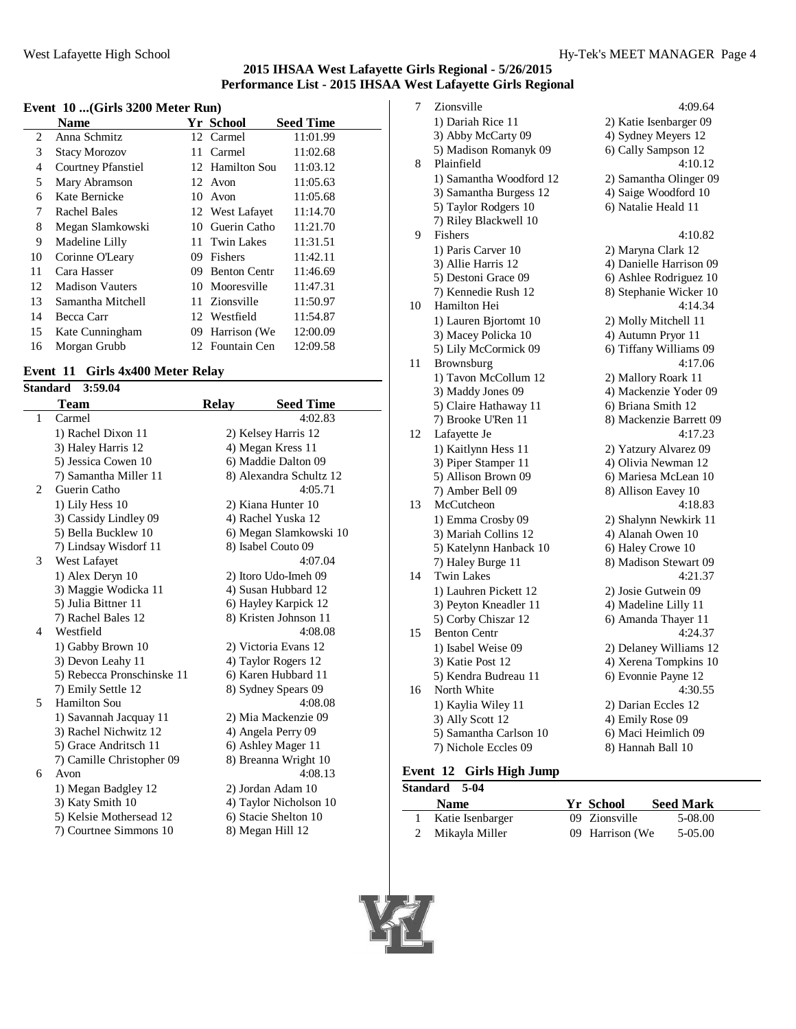#### **Event 10 ...(Girls 3200 Meter Run)**

|    | Name                      |    | <b>Yr School</b>    | <b>Seed Time</b> |
|----|---------------------------|----|---------------------|------------------|
| 2  | Anna Schmitz              |    | 12 Carmel           | 11:01.99         |
| 3  | <b>Stacy Morozov</b>      | 11 | Carmel              | 11:02.68         |
| 4  | <b>Courtney Pfanstiel</b> |    | 12 Hamilton Sou     | 11:03.12         |
| 5  | Mary Abramson             |    | 12 Avon             | 11:05.63         |
| 6  | Kate Bernicke             | 10 | Avon                | 11:05.68         |
| 7  | Rachel Bales              |    | 12 West Lafayet     | 11:14.70         |
| 8  | Megan Slamkowski          |    | 10 Guerin Catho     | 11:21.70         |
| 9  | Madeline Lilly            |    | 11 Twin Lakes       | 11:31.51         |
| 10 | Corinne O'Leary           |    | 09 Fishers          | 11:42.11         |
| 11 | Cara Hasser               | 09 | <b>Benton Centr</b> | 11:46.69         |
| 12 | <b>Madison Vauters</b>    |    | 10 Mooresville      | 11:47.31         |
| 13 | Samantha Mitchell         |    | 11 Zionsville       | 11:50.97         |
| 14 | Becca Carr                |    | 12 Westfield        | 11:54.87         |
| 15 | Kate Cunningham           |    | 09 Harrison (We     | 12:00.09         |
| 16 | Morgan Grubb              |    | 12 Fountain Cen     | 12:09.58         |

# **Event 11 Girls 4x400 Meter Relay**

| <b>Standard</b> | 3:59.04                    |              |                         |
|-----------------|----------------------------|--------------|-------------------------|
|                 | <b>Team</b>                | <b>Relay</b> | <b>Seed Time</b>        |
| $\mathbf{1}$    | Carmel                     |              | 4:02.83                 |
|                 | 1) Rachel Dixon 11         |              | 2) Kelsey Harris 12     |
|                 | 3) Haley Harris 12         |              | 4) Megan Kress 11       |
|                 | 5) Jessica Cowen 10        |              | 6) Maddie Dalton 09     |
|                 | 7) Samantha Miller 11      |              | 8) Alexandra Schultz 12 |
| 2               | Guerin Catho               |              | 4:05.71                 |
|                 | 1) Lily Hess 10            |              | 2) Kiana Hunter 10      |
|                 | 3) Cassidy Lindley 09      |              | 4) Rachel Yuska 12      |
|                 | 5) Bella Bucklew 10        |              | 6) Megan Slamkowski 10  |
|                 | 7) Lindsay Wisdorf 11      |              | 8) Isabel Couto 09      |
| 3               | West Lafayet               |              | 4:07.04                 |
|                 | 1) Alex Deryn 10           |              | 2) Itoro Udo-Imeh 09    |
|                 | 3) Maggie Wodicka 11       |              | 4) Susan Hubbard 12     |
|                 | 5) Julia Bittner 11        |              | 6) Hayley Karpick 12    |
|                 | 7) Rachel Bales 12         |              | 8) Kristen Johnson 11   |
| 4               | Westfield                  |              | 4:08.08                 |
|                 | 1) Gabby Brown 10          |              | 2) Victoria Evans 12    |
|                 | 3) Devon Leahy 11          |              | 4) Taylor Rogers 12     |
|                 | 5) Rebecca Pronschinske 11 |              | 6) Karen Hubbard 11     |
|                 | 7) Emily Settle 12         |              | 8) Sydney Spears 09     |
| 5               | <b>Hamilton Sou</b>        |              | 4:08.08                 |
|                 | 1) Savannah Jacquay 11     |              | 2) Mia Mackenzie 09     |
|                 | 3) Rachel Nichwitz 12      |              | 4) Angela Perry 09      |
|                 | 5) Grace Andritsch 11      |              | 6) Ashley Mager 11      |
|                 | 7) Camille Christopher 09  |              | 8) Breanna Wright 10    |
| 6               | Avon                       |              | 4:08.13                 |
|                 | 1) Megan Badgley 12        |              | 2) Jordan Adam 10       |
|                 | 3) Katy Smith 10           |              | 4) Taylor Nicholson 10  |
|                 | 5) Kelsie Mothersead 12    |              | 6) Stacie Shelton 10    |
|                 | 7) Courtnee Simmons 10     |              | 8) Megan Hill 12        |

| 7  | Zionsville              | 4:09.64                 |
|----|-------------------------|-------------------------|
|    | 1) Dariah Rice 11       | 2) Katie Isenbarger 09  |
|    | 3) Abby McCarty 09      | 4) Sydney Meyers 12     |
|    | 5) Madison Romanyk 09   | 6) Cally Sampson 12     |
| 8  | Plainfield              | 4:10.12                 |
|    | 1) Samantha Woodford 12 | 2) Samantha Olinger 09  |
|    | 3) Samantha Burgess 12  | 4) Saige Woodford 10    |
|    | 5) Taylor Rodgers 10    | 6) Natalie Heald 11     |
|    | 7) Riley Blackwell 10   |                         |
| 9  | Fishers                 | 4:10.82                 |
|    | 1) Paris Carver 10      | 2) Maryna Clark 12      |
|    | 3) Allie Harris 12      | 4) Danielle Harrison 09 |
|    | 5) Destoni Grace 09     | 6) Ashlee Rodriguez 10  |
|    | 7) Kennedie Rush 12     | 8) Stephanie Wicker 10  |
| 10 | Hamilton Hei            | 4:14.34                 |
|    | 1) Lauren Bjortomt 10   | 2) Molly Mitchell 11    |
|    | 3) Macey Policka 10     | 4) Autumn Pryor 11      |
|    | 5) Lily McCormick 09    | 6) Tiffany Williams 09  |
| 11 | Brownsburg              | 4:17.06                 |
|    | 1) Tavon McCollum 12    | 2) Mallory Roark 11     |
|    | 3) Maddy Jones 09       | 4) Mackenzie Yoder 09   |
|    | 5) Claire Hathaway 11   | 6) Briana Smith 12      |
|    | 7) Brooke U'Ren 11      | 8) Mackenzie Barrett 09 |
| 12 | Lafayette Je            | 4:17.23                 |
|    | 1) Kaitlynn Hess 11     | 2) Yatzury Alvarez 09   |
|    | 3) Piper Stamper 11     | 4) Olivia Newman 12     |
|    | 5) Allison Brown 09     | 6) Mariesa McLean 10    |
|    | 7) Amber Bell 09        | 8) Allison Eavey 10     |
| 13 | McCutcheon              | 4:18.83                 |
|    | 1) Emma Crosby 09       | 2) Shalynn Newkirk 11   |
|    | 3) Mariah Collins 12    | 4) Alanah Owen 10       |
|    | 5) Katelynn Hanback 10  | 6) Haley Crowe 10       |
|    | 7) Haley Burge 11       | 8) Madison Stewart 09   |
| 14 | <b>Twin Lakes</b>       | 4:21.37                 |
|    | 1) Lauhren Pickett 12   | 2) Josie Gutwein 09     |
|    | 3) Peyton Kneadler 11   | 4) Madeline Lilly 11    |
|    | 5) Corby Chiszar 12     | 6) Amanda Thayer 11     |
| 15 | <b>Benton Centr</b>     | 4:24.37                 |
|    | 1) Isabel Weise 09      | 2) Delaney Williams 12  |
|    | 3) Katie Post 12        | 4) Xerena Tompkins 10   |
|    | 5) Kendra Budreau 11    | 6) Evonnie Payne 12     |
| 16 | North White             | 4:30.55                 |
|    | 1) Kaylia Wiley 11      | 2) Darian Eccles 12     |
|    | 3) Ally Scott 12        | 4) Emily Rose 09        |
|    | 5) Samantha Carlson 10  | 6) Maci Heimlich 09     |
|    | 7) Nichole Eccles 09    | 8) Hannah Ball 10       |
|    |                         |                         |

# **Event 12 Girls High Jump**

| <b>Standard 5-04</b> |                               |  |
|----------------------|-------------------------------|--|
| <b>Name</b>          | <b>Seed Mark</b><br>Yr School |  |
| Katie Isenbarger     | 09 Zionsville<br>5-08.00      |  |
| 2 Mikayla Miller     | 09 Harrison (We)<br>5-05.00   |  |